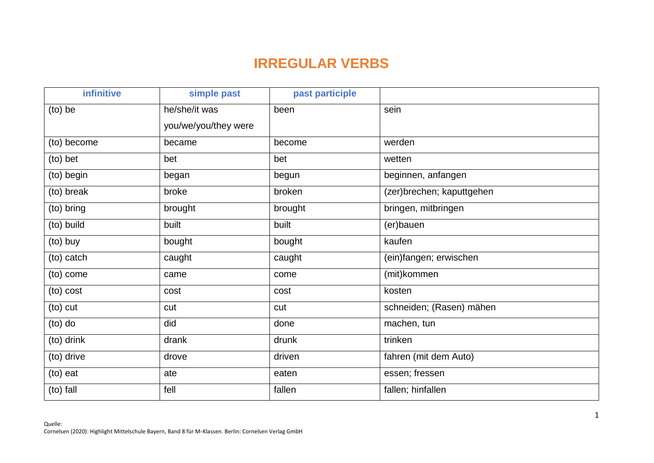## **IRREGULAR VERBS**

| infinitive  | simple past          | past participle |                           |
|-------------|----------------------|-----------------|---------------------------|
| $(to)$ be   | he/she/it was        | been            | sein                      |
|             | you/we/you/they were |                 |                           |
| (to) become | became               | become          | werden                    |
| (to) bet    | bet                  | bet             | wetten                    |
| (to) begin  | began                | begun           | beginnen, anfangen        |
| (to) break  | broke                | broken          | (zer)brechen; kaputtgehen |
| (to) bring  | brought              | brought         | bringen, mitbringen       |
| (to) build  | built                | built           | (er)bauen                 |
| (to) buy    | bought               | bought          | kaufen                    |
| (to) catch  | caught               | caught          | (ein)fangen; erwischen    |
| (to) come   | came                 | come            | (mit)kommen               |
| (to) cost   | cost                 | cost            | kosten                    |
| (to) cut    | cut                  | cut             | schneiden; (Rasen) mähen  |
| $(10)$ do   | did                  | done            | machen, tun               |
| (to) drink  | drank                | drunk           | trinken                   |
| (to) drive  | drove                | driven          | fahren (mit dem Auto)     |
| (to) eat    | ate                  | eaten           | essen; fressen            |
| (to) fall   | fell                 | fallen          | fallen; hinfallen         |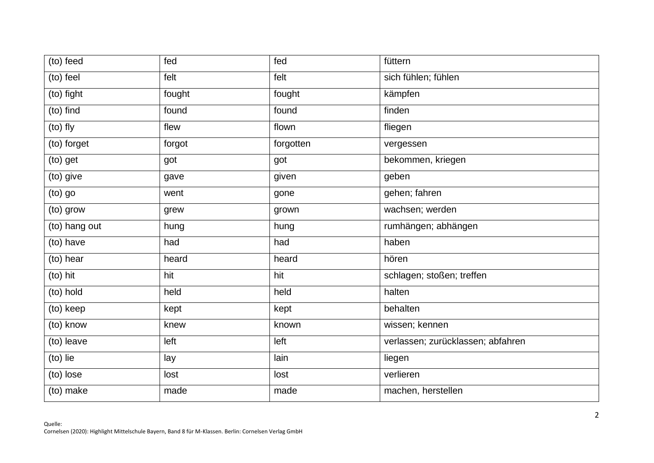| (to) feed     | fed    | fed       | füttern                           |
|---------------|--------|-----------|-----------------------------------|
| (to) feel     | felt   | felt      | sich fühlen; fühlen               |
| (to) fight    | fought | fought    | kämpfen                           |
| (to) find     | found  | found     | finden                            |
| (to) fly      | flew   | flown     | fliegen                           |
| (to) forget   | forgot | forgotten | vergessen                         |
| (to) get      | got    | got       | bekommen, kriegen                 |
| (to) give     | gave   | given     | geben                             |
| (to) go       | went   | gone      | gehen; fahren                     |
| (to) grow     | grew   | grown     | wachsen; werden                   |
| (to) hang out | hung   | hung      | rumhängen; abhängen               |
| (to) have     | had    | had       | haben                             |
| (to) hear     | heard  | heard     | hören                             |
| (to) hit      | hit    | hit       | schlagen; stoßen; treffen         |
| (to) hold     | held   | held      | halten                            |
| (to) keep     | kept   | kept      | behalten                          |
| (to) know     | knew   | known     | wissen; kennen                    |
| (to) leave    | left   | left      | verlassen; zurücklassen; abfahren |
| (to) lie      | lay    | lain      | liegen                            |
| (to) lose     | lost   | lost      | verlieren                         |
| (to) make     | made   | made      | machen, herstellen                |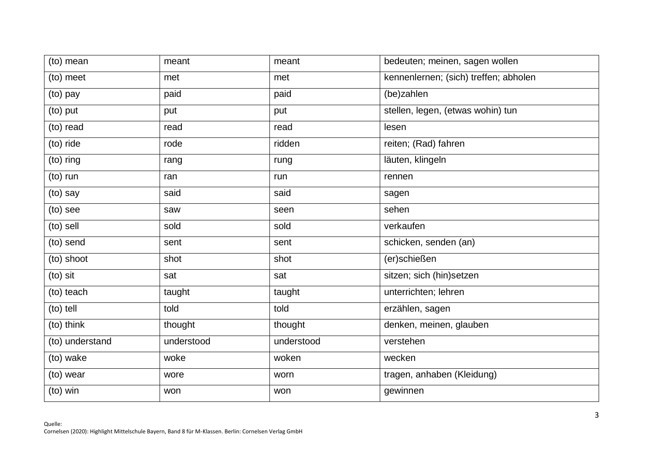| (to) mean       | meant      | meant      | bedeuten; meinen, sagen wollen        |
|-----------------|------------|------------|---------------------------------------|
| (to) meet       | met        | met        | kennenlernen; (sich) treffen; abholen |
| (to) pay        | paid       | paid       | (be)zahlen                            |
| (to) put        | put        | put        | stellen, legen, (etwas wohin) tun     |
| (to) read       | read       | read       | lesen                                 |
| (to) ride       | rode       | ridden     | reiten; (Rad) fahren                  |
| (to) ring       | rang       | rung       | läuten, klingeln                      |
| (to) run        | ran        | run        | rennen                                |
| (to) say        | said       | said       | sagen                                 |
| (to) see        | saw        | seen       | sehen                                 |
| (to) sell       | sold       | sold       | verkaufen                             |
| (to) send       | sent       | sent       | schicken, senden (an)                 |
| (to) shoot      | shot       | shot       | (er)schießen                          |
| (to) sit        | sat        | sat        | sitzen; sich (hin)setzen              |
| (to) teach      | taught     | taught     | unterrichten; lehren                  |
| (to) tell       | told       | told       | erzählen, sagen                       |
| (to) think      | thought    | thought    | denken, meinen, glauben               |
| (to) understand | understood | understood | verstehen                             |
| (to) wake       | woke       | woken      | wecken                                |
| (to) wear       | wore       | worn       | tragen, anhaben (Kleidung)            |
| (to) win        | won        | won        | gewinnen                              |